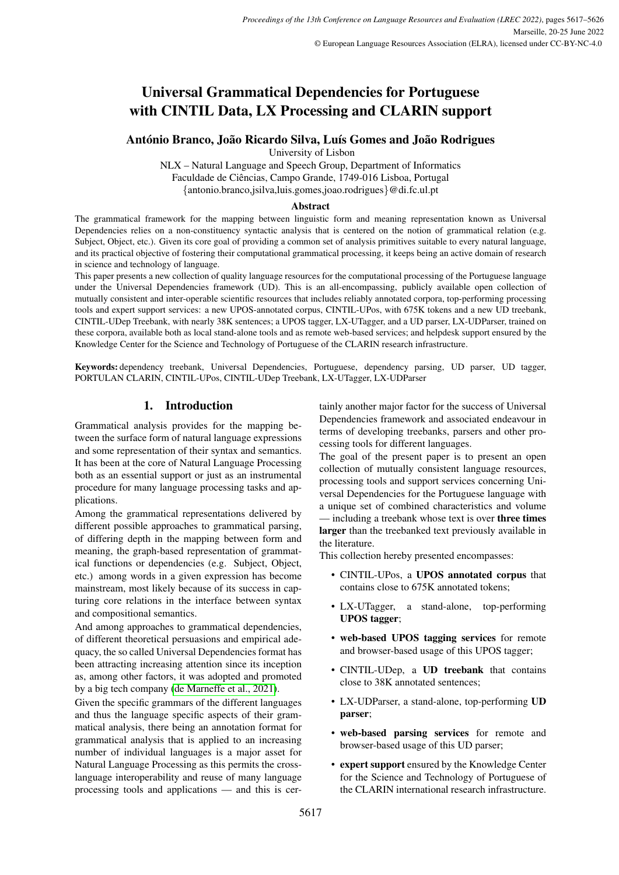# Universal Grammatical Dependencies for Portuguese with CINTIL Data, LX Processing and CLARIN support

# António Branco, João Ricardo Silva, Luís Gomes and João Rodrigues

University of Lisbon

NLX – Natural Language and Speech Group, Department of Informatics Faculdade de Ciências, Campo Grande, 1749-016 Lisboa, Portugal {antonio.branco,jsilva,luis.gomes,joao.rodrigues}@di.fc.ul.pt

# Abstract

The grammatical framework for the mapping between linguistic form and meaning representation known as Universal Dependencies relies on a non-constituency syntactic analysis that is centered on the notion of grammatical relation (e.g. Subject, Object, etc.). Given its core goal of providing a common set of analysis primitives suitable to every natural language, and its practical objective of fostering their computational grammatical processing, it keeps being an active domain of research in science and technology of language.

This paper presents a new collection of quality language resources for the computational processing of the Portuguese language under the Universal Dependencies framework (UD). This is an all-encompassing, publicly available open collection of mutually consistent and inter-operable scientific resources that includes reliably annotated corpora, top-performing processing tools and expert support services: a new UPOS-annotated corpus, CINTIL-UPos, with 675K tokens and a new UD treebank, CINTIL-UDep Treebank, with nearly 38K sentences; a UPOS tagger, LX-UTagger, and a UD parser, LX-UDParser, trained on these corpora, available both as local stand-alone tools and as remote web-based services; and helpdesk support ensured by the Knowledge Center for the Science and Technology of Portuguese of the CLARIN research infrastructure.

Keywords: dependency treebank, Universal Dependencies, Portuguese, dependency parsing, UD parser, UD tagger, PORTULAN CLARIN, CINTIL-UPos, CINTIL-UDep Treebank, LX-UTagger, LX-UDParser

# 1. Introduction

Grammatical analysis provides for the mapping between the surface form of natural language expressions and some representation of their syntax and semantics. It has been at the core of Natural Language Processing both as an essential support or just as an instrumental procedure for many language processing tasks and applications.

Among the grammatical representations delivered by different possible approaches to grammatical parsing, of differing depth in the mapping between form and meaning, the graph-based representation of grammatical functions or dependencies (e.g. Subject, Object, etc.) among words in a given expression has become mainstream, most likely because of its success in capturing core relations in the interface between syntax and compositional semantics.

And among approaches to grammatical dependencies, of different theoretical persuasions and empirical adequacy, the so called Universal Dependencies format has been attracting increasing attention since its inception as, among other factors, it was adopted and promoted by a big tech company [\(de Marneffe et al., 2021\)](#page-8-0).

Given the specific grammars of the different languages and thus the language specific aspects of their grammatical analysis, there being an annotation format for grammatical analysis that is applied to an increasing number of individual languages is a major asset for Natural Language Processing as this permits the crosslanguage interoperability and reuse of many language processing tools and applications — and this is certainly another major factor for the success of Universal Dependencies framework and associated endeavour in terms of developing treebanks, parsers and other processing tools for different languages.

The goal of the present paper is to present an open collection of mutually consistent language resources, processing tools and support services concerning Universal Dependencies for the Portuguese language with a unique set of combined characteristics and volume — including a treebank whose text is over **three times** larger than the treebanked text previously available in the literature.

This collection hereby presented encompasses:

- CINTIL-UPos, a UPOS annotated corpus that contains close to 675K annotated tokens;
- LX-UTagger, a stand-alone, top-performing UPOS tagger;
- web-based UPOS tagging services for remote and browser-based usage of this UPOS tagger;
- CINTIL-UDep, a UD treebank that contains close to 38K annotated sentences;
- LX-UDParser, a stand-alone, top-performing UD parser;
- web-based parsing services for remote and browser-based usage of this UD parser;
- expert support ensured by the Knowledge Center for the Science and Technology of Portuguese of the CLARIN international research infrastructure.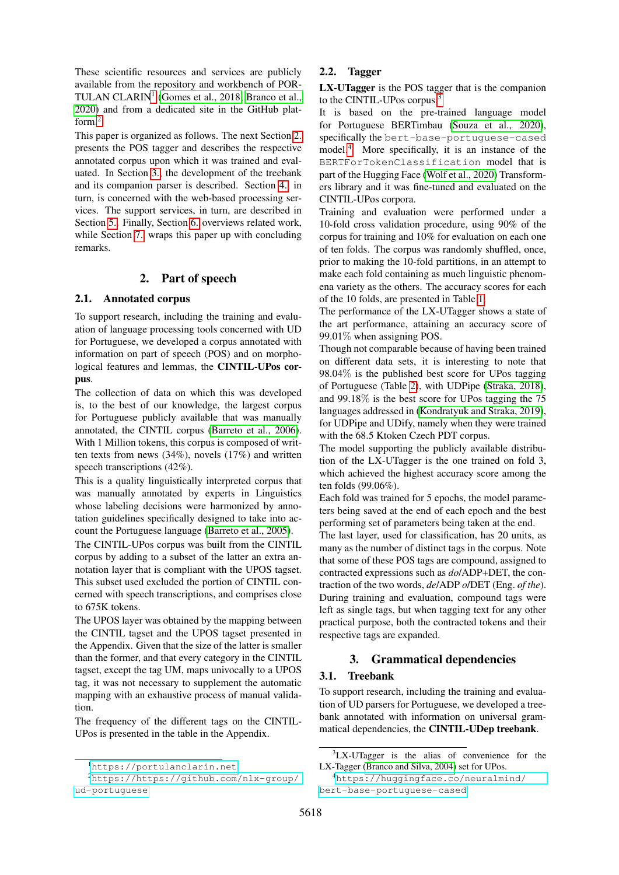These scientific resources and services are publicly available from the repository and workbench of POR-TULAN CLARIN<sup>[1](#page-1-0)</sup> [\(Gomes et al., 2018;](#page-8-1) [Branco et al.,](#page-7-0) [2020\)](#page-7-0) and from a dedicated site in the GitHub platform.[2](#page-1-1)

This paper is organized as follows. The next Section [2.](#page-1-2) presents the POS tagger and describes the respective annotated corpus upon which it was trained and evaluated. In Section [3.,](#page-1-3) the development of the treebank and its companion parser is described. Section [4.,](#page-3-0) in turn, is concerned with the web-based processing services. The support services, in turn, are described in Section [5..](#page-4-0) Finally, Section [6.](#page-5-0) overviews related work, while Section [7.](#page-6-0) wraps this paper up with concluding remarks.

# 2. Part of speech

#### <span id="page-1-6"></span><span id="page-1-2"></span>2.1. Annotated corpus

To support research, including the training and evaluation of language processing tools concerned with UD for Portuguese, we developed a corpus annotated with information on part of speech (POS) and on morphological features and lemmas, the CINTIL-UPos corpus.

The collection of data on which this was developed is, to the best of our knowledge, the largest corpus for Portuguese publicly available that was manually annotated, the CINTIL corpus [\(Barreto et al., 2006\)](#page-7-1). With 1 Million tokens, this corpus is composed of written texts from news (34%), novels (17%) and written speech transcriptions (42%).

This is a quality linguistically interpreted corpus that was manually annotated by experts in Linguistics whose labeling decisions were harmonized by annotation guidelines specifically designed to take into account the Portuguese language [\(Barreto et al., 2005\)](#page-7-2).

The CINTIL-UPos corpus was built from the CINTIL corpus by adding to a subset of the latter an extra annotation layer that is compliant with the UPOS tagset. This subset used excluded the portion of CINTIL concerned with speech transcriptions, and comprises close to 675K tokens.

The UPOS layer was obtained by the mapping between the CINTIL tagset and the UPOS tagset presented in the Appendix. Given that the size of the latter is smaller than the former, and that every category in the CINTIL tagset, except the tag UM, maps univocally to a UPOS tag, it was not necessary to supplement the automatic mapping with an exhaustive process of manual validation.

The frequency of the different tags on the CINTIL-UPos is presented in the table in the Appendix.

# 2.2. Tagger

LX-UTagger is the POS tagger that is the companion to the CINTIL-UPos corpus.<sup>[3](#page-1-4)</sup>

It is based on the pre-trained language model for Portuguese BERTimbau [\(Souza et al., 2020\)](#page-9-0), specifically the bert-base-portuguese-cased model.[4](#page-1-5) More specifically, it is an instance of the BERTForTokenClassification model that is part of the Hugging Face [\(Wolf et al., 2020\)](#page-9-1) Transformers library and it was fine-tuned and evaluated on the CINTIL-UPos corpora.

Training and evaluation were performed under a 10-fold cross validation procedure, using 90% of the corpus for training and 10% for evaluation on each one of ten folds. The corpus was randomly shuffled, once, prior to making the 10-fold partitions, in an attempt to make each fold containing as much linguistic phenomena variety as the others. The accuracy scores for each of the 10 folds, are presented in Table [1.](#page-2-0)

The performance of the LX-UTagger shows a state of the art performance, attaining an accuracy score of 99.01% when assigning POS.

Though not comparable because of having been trained on different data sets, it is interesting to note that 98.04% is the published best score for UPos tagging of Portuguese (Table [2\)](#page-6-1), with UDPipe [\(Straka, 2018\)](#page-9-2), and 99.18% is the best score for UPos tagging the 75 languages addressed in [\(Kondratyuk and Straka, 2019\)](#page-8-2), for UDPipe and UDify, namely when they were trained with the 68.5 Ktoken Czech PDT corpus.

The model supporting the publicly available distribution of the LX-UTagger is the one trained on fold 3, which achieved the highest accuracy score among the ten folds (99.06%).

Each fold was trained for 5 epochs, the model parameters being saved at the end of each epoch and the best performing set of parameters being taken at the end.

The last layer, used for classification, has 20 units, as many as the number of distinct tags in the corpus. Note that some of these POS tags are compound, assigned to contracted expressions such as *do*/ADP+DET, the contraction of the two words, *de*/ADP *o*/DET (Eng. *of the*). During training and evaluation, compound tags were left as single tags, but when tagging text for any other practical purpose, both the contracted tokens and their respective tags are expanded.

# 3. Grammatical dependencies

# <span id="page-1-3"></span>3.1. Treebank

To support research, including the training and evaluation of UD parsers for Portuguese, we developed a treebank annotated with information on universal grammatical dependencies, the CINTIL-UDep treebank.

<span id="page-1-1"></span><span id="page-1-0"></span><sup>1</sup><https://portulanclarin.net>

<sup>2</sup>[https://https://github.com/nlx-group/](https://https://github.com/nlx-group/ud-portuguese) [ud-portuguese](https://https://github.com/nlx-group/ud-portuguese)

<span id="page-1-4"></span><sup>&</sup>lt;sup>3</sup>LX-UTagger is the alias of convenience for the LX-Tagger [\(Branco and Silva, 2004\)](#page-7-3) set for UPos.

<span id="page-1-5"></span><sup>4</sup>[https://huggingface.co/neuralmind/](https://huggingface.co/neuralmind/bert-base-portuguese-cased) [bert-base-portuguese-cased](https://huggingface.co/neuralmind/bert-base-portuguese-cased)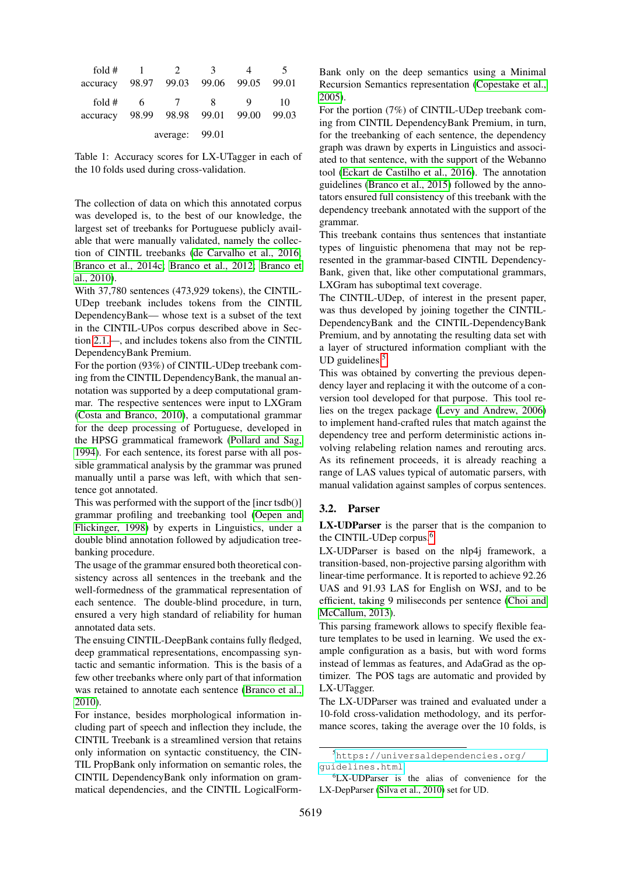| fold $#$             |   |                | 3                             |   |             |
|----------------------|---|----------------|-------------------------------|---|-------------|
| accuracy             |   |                | 98.97 99.03 99.06 99.05 99.01 |   |             |
| fold $#$<br>accuracy | 6 | $\overline{7}$ | 8<br>98.99 98.98 99.01 99.00  | Q | 10<br>99.03 |
|                      |   | average: 99.01 |                               |   |             |

<span id="page-2-0"></span>Table 1: Accuracy scores for LX-UTagger in each of the 10 folds used during cross-validation.

The collection of data on which this annotated corpus was developed is, to the best of our knowledge, the largest set of treebanks for Portuguese publicly available that were manually validated, namely the collection of CINTIL treebanks [\(de Carvalho et al., 2016;](#page-8-3) [Branco et al., 2014c;](#page-7-4) [Branco et al., 2012;](#page-7-5) [Branco et](#page-7-6) [al., 2010\)](#page-7-6).

With 37,780 sentences (473,929 tokens), the CINTIL-UDep treebank includes tokens from the CINTIL DependencyBank— whose text is a subset of the text in the CINTIL-UPos corpus described above in Section [2.1.—](#page-1-6), and includes tokens also from the CINTIL DependencyBank Premium.

For the portion (93%) of CINTIL-UDep treebank coming from the CINTIL DependencyBank, the manual annotation was supported by a deep computational grammar. The respective sentences were input to LXGram [\(Costa and Branco, 2010\)](#page-7-7), a computational grammar for the deep processing of Portuguese, developed in the HPSG grammatical framework [\(Pollard and Sag,](#page-8-4) [1994\)](#page-8-4). For each sentence, its forest parse with all possible grammatical analysis by the grammar was pruned manually until a parse was left, with which that sentence got annotated.

This was performed with the support of the [incr tsdb()] grammar profiling and treebanking tool [\(Oepen and](#page-8-5) [Flickinger, 1998\)](#page-8-5) by experts in Linguistics, under a double blind annotation followed by adjudication treebanking procedure.

The usage of the grammar ensured both theoretical consistency across all sentences in the treebank and the well-formedness of the grammatical representation of each sentence. The double-blind procedure, in turn, ensured a very high standard of reliability for human annotated data sets.

The ensuing CINTIL-DeepBank contains fully fledged, deep grammatical representations, encompassing syntactic and semantic information. This is the basis of a few other treebanks where only part of that information was retained to annotate each sentence [\(Branco et al.,](#page-7-6) [2010\)](#page-7-6).

For instance, besides morphological information including part of speech and inflection they include, the CINTIL Treebank is a streamlined version that retains only information on syntactic constituency, the CIN-TIL PropBank only information on semantic roles, the CINTIL DependencyBank only information on grammatical dependencies, and the CINTIL LogicalFormBank only on the deep semantics using a Minimal Recursion Semantics representation [\(Copestake et al.,](#page-7-8) [2005\)](#page-7-8).

For the portion (7%) of CINTIL-UDep treebank coming from CINTIL DependencyBank Premium, in turn, for the treebanking of each sentence, the dependency graph was drawn by experts in Linguistics and associated to that sentence, with the support of the Webanno tool [\(Eckart de Castilho et al., 2016\)](#page-8-6). The annotation guidelines [\(Branco et al., 2015\)](#page-7-9) followed by the annotators ensured full consistency of this treebank with the dependency treebank annotated with the support of the grammar.

This treebank contains thus sentences that instantiate types of linguistic phenomena that may not be represented in the grammar-based CINTIL Dependency-Bank, given that, like other computational grammars, LXGram has suboptimal text coverage.

The CINTIL-UDep, of interest in the present paper, was thus developed by joining together the CINTIL-DependencyBank and the CINTIL-DependencyBank Premium, and by annotating the resulting data set with a layer of structured information compliant with the UD guidelines. $5$ 

This was obtained by converting the previous dependency layer and replacing it with the outcome of a conversion tool developed for that purpose. This tool relies on the tregex package [\(Levy and Andrew, 2006\)](#page-8-7) to implement hand-crafted rules that match against the dependency tree and perform deterministic actions involving relabeling relation names and rerouting arcs. As its refinement proceeds, it is already reaching a range of LAS values typical of automatic parsers, with manual validation against samples of corpus sentences.

# 3.2. Parser

LX-UDParser is the parser that is the companion to the CINTIL-UDep corpus.<sup>[6](#page-2-2)</sup>

LX-UDParser is based on the nlp4j framework, a transition-based, non-projective parsing algorithm with linear-time performance. It is reported to achieve 92.26 UAS and 91.93 LAS for English on WSJ, and to be efficient, taking 9 miliseconds per sentence [\(Choi and](#page-7-10) [McCallum, 2013\)](#page-7-10).

This parsing framework allows to specify flexible feature templates to be used in learning. We used the example configuration as a basis, but with word forms instead of lemmas as features, and AdaGrad as the optimizer. The POS tags are automatic and provided by LX-UTagger.

The LX-UDParser was trained and evaluated under a 10-fold cross-validation methodology, and its performance scores, taking the average over the 10 folds, is

<span id="page-2-1"></span><sup>5</sup>[https://universaldependencies.org/](https://universaldependencies.org/guidelines.html) [guidelines.html](https://universaldependencies.org/guidelines.html)

<span id="page-2-2"></span><sup>6</sup>LX-UDParser is the alias of convenience for the LX-DepParser [\(Silva et al., 2010\)](#page-9-3) set for UD.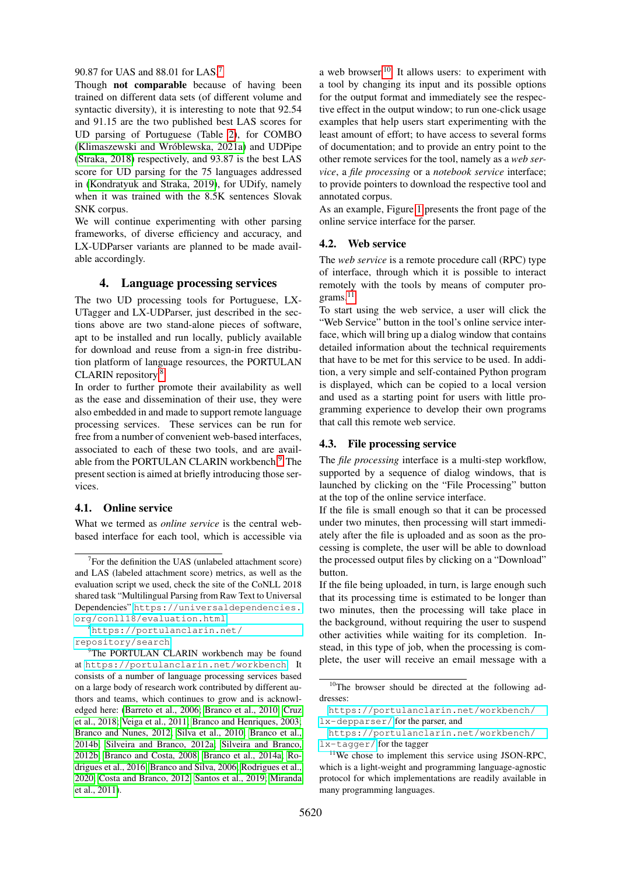#### 90.87 for UAS and 88.01 for LAS.[7](#page-3-1)

Though not comparable because of having been trained on different data sets (of different volume and syntactic diversity), it is interesting to note that 92.54 and 91.15 are the two published best LAS scores for UD parsing of Portuguese (Table [2\)](#page-6-1), for COMBO (Klimaszewski and Wróblewska, 2021a) and UDPipe [\(Straka, 2018\)](#page-9-2) respectively, and 93.87 is the best LAS score for UD parsing for the 75 languages addressed in [\(Kondratyuk and Straka, 2019\)](#page-8-2), for UDify, namely when it was trained with the 8.5K sentences Slovak SNK corpus.

We will continue experimenting with other parsing frameworks, of diverse efficiency and accuracy, and LX-UDParser variants are planned to be made available accordingly.

# 4. Language processing services

<span id="page-3-0"></span>The two UD processing tools for Portuguese, LX-UTagger and LX-UDParser, just described in the sections above are two stand-alone pieces of software, apt to be installed and run locally, publicly available for download and reuse from a sign-in free distribution platform of language resources, the PORTULAN CLARIN repository.[8](#page-3-2)

In order to further promote their availability as well as the ease and dissemination of their use, they were also embedded in and made to support remote language processing services. These services can be run for free from a number of convenient web-based interfaces, associated to each of these two tools, and are avail-able from the PORTULAN CLARIN workbench.<sup>[9](#page-3-3)</sup> The present section is aimed at briefly introducing those services.

### 4.1. Online service

What we termed as *online service* is the central webbased interface for each tool, which is accessible via a web browser.<sup>[10](#page-3-4)</sup> It allows users: to experiment with a tool by changing its input and its possible options for the output format and immediately see the respective effect in the output window; to run one-click usage examples that help users start experimenting with the least amount of effort; to have access to several forms of documentation; and to provide an entry point to the other remote services for the tool, namely as a *web service*, a *file processing* or a *notebook service* interface; to provide pointers to download the respective tool and annotated corpus.

As an example, Figure [1](#page-4-1) presents the front page of the online service interface for the parser.

#### 4.2. Web service

The *web service* is a remote procedure call (RPC) type of interface, through which it is possible to interact remotely with the tools by means of computer pro-grams.<sup>[11](#page-3-5)</sup>

To start using the web service, a user will click the "Web Service" button in the tool's online service interface, which will bring up a dialog window that contains detailed information about the technical requirements that have to be met for this service to be used. In addition, a very simple and self-contained Python program is displayed, which can be copied to a local version and used as a starting point for users with little programming experience to develop their own programs that call this remote web service.

#### 4.3. File processing service

The *file processing* interface is a multi-step workflow, supported by a sequence of dialog windows, that is launched by clicking on the "File Processing" button at the top of the online service interface.

If the file is small enough so that it can be processed under two minutes, then processing will start immediately after the file is uploaded and as soon as the processing is complete, the user will be able to download the processed output files by clicking on a "Download" button.

If the file being uploaded, in turn, is large enough such that its processing time is estimated to be longer than two minutes, then the processing will take place in the background, without requiring the user to suspend other activities while waiting for its completion. Instead, in this type of job, when the processing is complete, the user will receive an email message with a

<span id="page-3-1"></span> $7$  For the definition the UAS (unlabeled attachment score) and LAS (labeled attachment score) metrics, as well as the evaluation script we used, check the site of the CoNLL 2018 shared task "Multilingual Parsing from Raw Text to Universal Dependencies" [https://universaldependencies.](https://universaldependencies.org/conll18/evaluation.html) [org/conll18/evaluation.html](https://universaldependencies.org/conll18/evaluation.html)

<span id="page-3-2"></span><sup>8</sup>[https://portulanclarin.net/](https://portulanclarin.net/repository/search) [repository/search](https://portulanclarin.net/repository/search)

<span id="page-3-3"></span><sup>&</sup>lt;sup>9</sup>The PORTULAN CLARIN workbench may be found at <https://portulanclarin.net/workbench>. It consists of a number of language processing services based on a large body of research work contributed by different authors and teams, which continues to grow and is acknowledged here: [\(Barreto et al., 2006;](#page-7-1) [Branco et al., 2010;](#page-7-6) [Cruz](#page-8-9) [et al., 2018;](#page-8-9) [Veiga et al., 2011;](#page-9-4) [Branco and Henriques, 2003;](#page-7-11) [Branco and Nunes, 2012;](#page-7-12) [Silva et al., 2010;](#page-9-3) [Branco et al.,](#page-7-13) [2014b;](#page-7-13) [Silveira and Branco, 2012a;](#page-9-5) [Silveira and Branco,](#page-9-6) [2012b;](#page-9-6) [Branco and Costa, 2008;](#page-7-14) [Branco et al., 2014a;](#page-7-15) [Ro](#page-8-10)[drigues et al., 2016;](#page-8-10) [Branco and Silva, 2006;](#page-7-16) [Rodrigues et al.,](#page-9-7) [2020;](#page-9-7) [Costa and Branco, 2012;](#page-7-17) [Santos et al., 2019;](#page-9-8) [Miranda](#page-8-11) [et al., 2011\)](#page-8-11).

<span id="page-3-4"></span><sup>10</sup>The browser should be directed at the following addresses:

[https://portulanclarin.net/workbench/](https://portulanclarin.net/workbench/lx-depparser/) [lx-depparser/](https://portulanclarin.net/workbench/lx-depparser/) for the parser, and

[https://portulanclarin.net/workbench/](https://portulanclarin.net/workbench/lx-tagger/) [lx-tagger/](https://portulanclarin.net/workbench/lx-tagger/) for the tagger

<span id="page-3-5"></span><sup>&</sup>lt;sup>11</sup>We chose to implement this service using JSON-RPC, which is a light-weight and programming language-agnostic protocol for which implementations are readily available in many programming languages.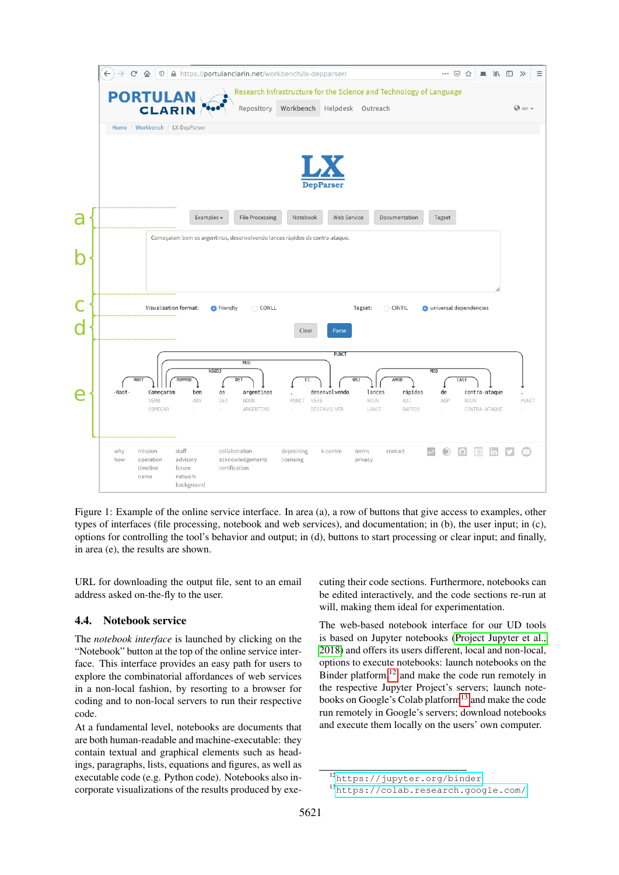

<span id="page-4-1"></span>Figure 1: Example of the online service interface. In area (a), a row of buttons that give access to examples, other types of interfaces (file processing, notebook and web services), and documentation; in (b), the user input; in (c), options for controlling the tool's behavior and output; in (d), buttons to start processing or clear input; and finally, in area (e), the results are shown.

URL for downloading the output file, sent to an email address asked on-the-fly to the user.

# 4.4. Notebook service

The *notebook interface* is launched by clicking on the "Notebook" button at the top of the online service interface. This interface provides an easy path for users to explore the combinatorial affordances of web services in a non-local fashion, by resorting to a browser for coding and to non-local servers to run their respective code.

At a fundamental level, notebooks are documents that are both human-readable and machine-executable: they contain textual and graphical elements such as headings, paragraphs, lists, equations and figures, as well as executable code (e.g. Python code). Notebooks also incorporate visualizations of the results produced by exe-

cuting their code sections. Furthermore, notebooks can be edited interactively, and the code sections re-run at will, making them ideal for experimentation.

The web-based notebook interface for our UD tools is based on Jupyter notebooks [\(Project Jupyter et al.,](#page-8-12) [2018\)](#page-8-12) and offers its users different, local and non-local, options to execute notebooks: launch notebooks on the Binder platform, $12$  and make the code run remotely in the respective Jupyter Project's servers; launch note-books on Google's Colab platform<sup>[13](#page-4-3)</sup> and make the code run remotely in Google's servers; download notebooks and execute them locally on the users' own computer.

<span id="page-4-2"></span><span id="page-4-0"></span><sup>12</sup><https://jupyter.org/binder>

<span id="page-4-3"></span><sup>13</sup><https://colab.research.google.com/>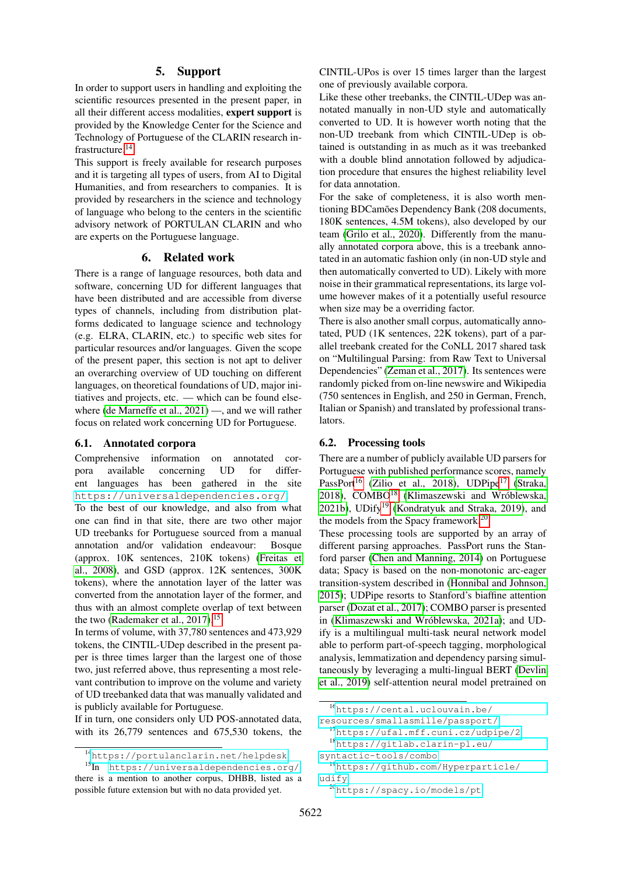#### 5. Support

In order to support users in handling and exploiting the scientific resources presented in the present paper, in all their different access modalities, expert support is provided by the Knowledge Center for the Science and Technology of Portuguese of the CLARIN research infrastructure.[14](#page-5-1)

This support is freely available for research purposes and it is targeting all types of users, from AI to Digital Humanities, and from researchers to companies. It is provided by researchers in the science and technology of language who belong to the centers in the scientific advisory network of PORTULAN CLARIN and who are experts on the Portuguese language.

# 6. Related work

<span id="page-5-0"></span>There is a range of language resources, both data and software, concerning UD for different languages that have been distributed and are accessible from diverse types of channels, including from distribution platforms dedicated to language science and technology (e.g. ELRA, CLARIN, etc.) to specific web sites for particular resources and/or languages. Given the scope of the present paper, this section is not apt to deliver an overarching overview of UD touching on different languages, on theoretical foundations of UD, major initiatives and projects, etc. — which can be found elsewhere [\(de Marneffe et al., 2021\)](#page-8-0) —, and we will rather focus on related work concerning UD for Portuguese.

#### 6.1. Annotated corpora

Comprehensive information on annotated corpora available concerning UD for different languages has been gathered in the site <https://universaldependencies.org/>.

To the best of our knowledge, and also from what one can find in that site, there are two other major UD treebanks for Portuguese sourced from a manual annotation and/or validation endeavour: Bosque (approx. 10K sentences, 210K tokens) [\(Freitas et](#page-8-13) [al., 2008\)](#page-8-13), and GSD (approx. 12K sentences, 300K tokens), where the annotation layer of the latter was converted from the annotation layer of the former, and thus with an almost complete overlap of text between the two [\(Rademaker et al., 2017\)](#page-8-14).<sup>[15](#page-5-2)</sup>

In terms of volume, with 37,780 sentences and 473,929 tokens, the CINTIL-UDep described in the present paper is three times larger than the largest one of those two, just referred above, thus representing a most relevant contribution to improve on the volume and variety of UD treebanked data that was manually validated and is publicly available for Portuguese.

If in turn, one considers only UD POS-annotated data, with its 26,779 sentences and 675,530 tokens, the CINTIL-UPos is over 15 times larger than the largest one of previously available corpora.

Like these other treebanks, the CINTIL-UDep was annotated manually in non-UD style and automatically converted to UD. It is however worth noting that the non-UD treebank from which CINTIL-UDep is obtained is outstanding in as much as it was treebanked with a double blind annotation followed by adjudication procedure that ensures the highest reliability level for data annotation.

For the sake of completeness, it is also worth mentioning BDCamões Dependency Bank (208 documents, 180K sentences, 4.5M tokens), also developed by our team [\(Grilo et al., 2020\)](#page-8-15). Differently from the manually annotated corpora above, this is a treebank annotated in an automatic fashion only (in non-UD style and then automatically converted to UD). Likely with more noise in their grammatical representations, its large volume however makes of it a potentially useful resource when size may be a overriding factor.

There is also another small corpus, automatically annotated, PUD (1K sentences, 22K tokens), part of a parallel treebank created for the CoNLL 2017 shared task on "Multilingual Parsing: from Raw Text to Universal Dependencies" [\(Zeman et al., 2017\)](#page-9-9). Its sentences were randomly picked from on-line newswire and Wikipedia (750 sentences in English, and 250 in German, French, Italian or Spanish) and translated by professional translators.

#### 6.2. Processing tools

There are a number of publicly available UD parsers for Portuguese with published performance scores, namely PassPort<sup>[16](#page-5-3)</sup> [\(Zilio et al., 2018\)](#page-9-10), UDPipe<sup>[17](#page-5-4)</sup> [\(Straka,](#page-9-2) [2018\)](#page-9-2), COMBO<sup>[18](#page-5-5)</sup> (Klimaszewski and Wróblewska, [2021b\)](#page-8-16), UDify<sup>[19](#page-5-6)</sup> [\(Kondratyuk and Straka, 2019\)](#page-8-2), and the models from the Spacy framework.<sup>[20](#page-5-7)</sup>

These processing tools are supported by an array of different parsing approaches. PassPort runs the Stanford parser [\(Chen and Manning, 2014\)](#page-7-18) on Portuguese data; Spacy is based on the non-monotonic arc-eager transition-system described in [\(Honnibal and Johnson,](#page-8-17) [2015\)](#page-8-17); UDPipe resorts to Stanford's biaffine attention parser [\(Dozat et al., 2017\)](#page-8-18); COMBO parser is presented in (Klimaszewski and Wróblewska, 2021a); and UDify is a multilingual multi-task neural network model able to perform part-of-speech tagging, morphological analysis, lemmatization and dependency parsing simultaneously by leveraging a multi-lingual BERT [\(Devlin](#page-8-19) [et al., 2019\)](#page-8-19) self-attention neural model pretrained on

<span id="page-5-2"></span><span id="page-5-1"></span><sup>14</sup><https://portulanclarin.net/helpdesk>

<sup>15</sup>In <https://universaldependencies.org/>, there is a mention to another corpus, DHBB, listed as a possible future extension but with no data provided yet.

<span id="page-5-3"></span><sup>16</sup>[https://cental.uclouvain.be/](https://cental.uclouvain.be/resources/smalla smille/passport/)

[resources/smallasmille/passport/](https://cental.uclouvain.be/resources/smalla smille/passport/)

<span id="page-5-4"></span><sup>17</sup><https://ufal.mff.cuni.cz/udpipe/2>

<span id="page-5-5"></span><sup>18</sup>[https://gitlab.clarin-pl.eu/](https://gitlab.clarin-pl.eu/syntactic-tools/combo)

[syntactic-tools/combo](https://gitlab.clarin-pl.eu/syntactic-tools/combo)

<span id="page-5-6"></span><sup>19</sup>[https://github.com/Hyperparticle/](https://github.com/Hyperparticle/udify) [udify](https://github.com/Hyperparticle/udify)

<span id="page-5-7"></span><sup>20</sup><https://spacy.io/models/pt>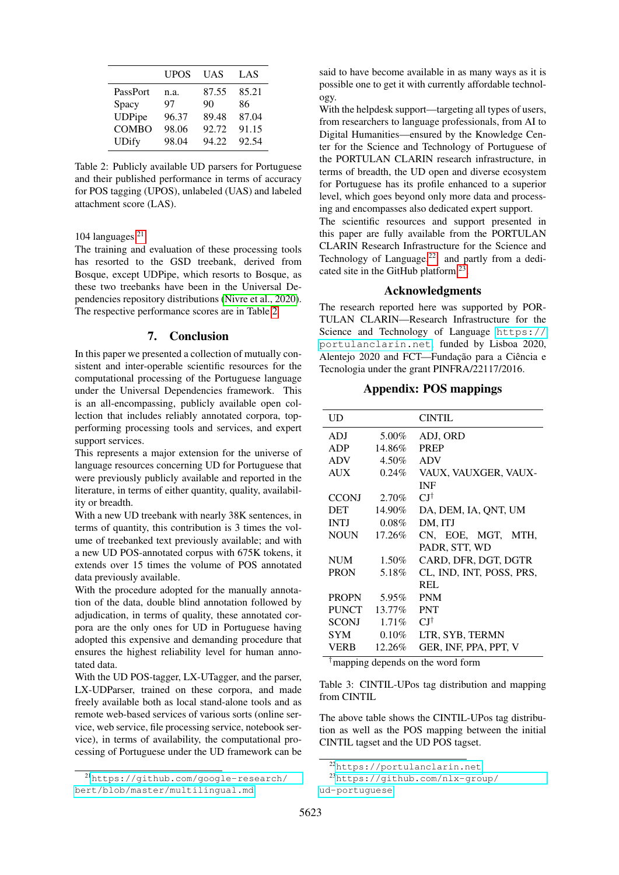|               | UPOS  | UAS   | LAS   |
|---------------|-------|-------|-------|
| PassPort      | n.a.  | 87.55 | 85.21 |
| Spacy         | 97    | 90    | 86    |
| <b>UDPipe</b> | 96.37 | 89.48 | 87.04 |
| <b>COMBO</b>  | 98.06 | 92.72 | 91.15 |
| <b>UDify</b>  | 98.04 | 94.22 | 92.54 |

<span id="page-6-1"></span>Table 2: Publicly available UD parsers for Portuguese and their published performance in terms of accuracy for POS tagging (UPOS), unlabeled (UAS) and labeled attachment score (LAS).

# 104 languages. $21$

The training and evaluation of these processing tools has resorted to the GSD treebank, derived from Bosque, except UDPipe, which resorts to Bosque, as these two treebanks have been in the Universal Dependencies repository distributions [\(Nivre et al., 2020\)](#page-8-20). The respective performance scores are in Table [2](#page-6-1)

# 7. Conclusion

<span id="page-6-0"></span>In this paper we presented a collection of mutually consistent and inter-operable scientific resources for the computational processing of the Portuguese language under the Universal Dependencies framework. This is an all-encompassing, publicly available open collection that includes reliably annotated corpora, topperforming processing tools and services, and expert support services.

This represents a major extension for the universe of language resources concerning UD for Portuguese that were previously publicly available and reported in the literature, in terms of either quantity, quality, availability or breadth.

With a new UD treebank with nearly 38K sentences, in terms of quantity, this contribution is 3 times the volume of treebanked text previously available; and with a new UD POS-annotated corpus with 675K tokens, it extends over 15 times the volume of POS annotated data previously available.

With the procedure adopted for the manually annotation of the data, double blind annotation followed by adjudication, in terms of quality, these annotated corpora are the only ones for UD in Portuguese having adopted this expensive and demanding procedure that ensures the highest reliability level for human annotated data.

With the UD POS-tagger, LX-UTagger, and the parser, LX-UDParser, trained on these corpora, and made freely available both as local stand-alone tools and as remote web-based services of various sorts (online service, web service, file processing service, notebook service), in terms of availability, the computational processing of Portuguese under the UD framework can be said to have become available in as many ways as it is possible one to get it with currently affordable technology.

With the helpdesk support—targeting all types of users, from researchers to language professionals, from AI to Digital Humanities—ensured by the Knowledge Center for the Science and Technology of Portuguese of the PORTULAN CLARIN research infrastructure, in terms of breadth, the UD open and diverse ecosystem for Portuguese has its profile enhanced to a superior level, which goes beyond only more data and processing and encompasses also dedicated expert support.

The scientific resources and support presented in this paper are fully available from the PORTULAN CLARIN Research Infrastructure for the Science and Technology of Language.<sup>[22](#page-6-3)</sup> and partly from a dedicated site in the GitHub platform.[23](#page-6-4) .

# Acknowledgments

The research reported here was supported by POR-TULAN CLARIN—Research Infrastructure for the Science and Technology of Language [https://](https://portulanclarin.net) [portulanclarin.net](https://portulanclarin.net), funded by Lisboa 2020, Alentejo 2020 and FCT—Fundação para a Ciência e Tecnologia under the grant PINFRA/22117/2016.

# Appendix: POS mappings

| UD           |          | <b>CINTIL</b>            |
|--------------|----------|--------------------------|
| ADJ          | 5.00%    | ADJ, ORD                 |
| <b>ADP</b>   | 14.86%   | <b>PREP</b>              |
| <b>ADV</b>   | 4.50%    | <b>ADV</b>               |
| <b>AUX</b>   | $0.24\%$ | VAUX, VAUXGER, VAUX-     |
|              |          | <b>INF</b>               |
| <b>CCONJ</b> | 2.70%    | СI†                      |
| <b>DET</b>   | 14.90%   | DA, DEM, IA, QNT, UM     |
| <b>INTI</b>  | $0.08\%$ | DM, ITJ                  |
| <b>NOUN</b>  | 17.26%   | CN, EOE, MGT,<br>MTH.    |
|              |          | PADR, STT, WD            |
| NUM          | 1.50%    | CARD, DFR, DGT, DGTR     |
| <b>PRON</b>  | 5.18%    | CL, IND, INT, POSS, PRS, |
|              |          | REL                      |
| <b>PROPN</b> | 5.95%    | <b>PNM</b>               |
| <b>PUNCT</b> | 13.77%   | <b>PNT</b>               |
| <b>SCONJ</b> | $1.71\%$ | СI†                      |
| <b>SYM</b>   | 0.10%    | LTR, SYB, TERMN          |
| VERB         | 12.26%   | GER, INF, PPA, PPT, V    |

†mapping depends on the word form

Table 3: CINTIL-UPos tag distribution and mapping from CINTIL

The above table shows the CINTIL-UPos tag distribution as well as the POS mapping between the initial CINTIL tagset and the UD POS tagset.

<span id="page-6-2"></span><sup>21</sup>[https://github.com/google-research/](https://github.com/google-research/bert/blob/master/multilingual.md) [bert/blob/master/multilingual.md](https://github.com/google-research/bert/blob/master/multilingual.md)

<span id="page-6-4"></span><span id="page-6-3"></span><sup>22</sup><https://portulanclarin.net>

<sup>23</sup>[https://github.com/nlx-group/](https://github.com/nlx-group/ud-portuguese) [ud-portuguese](https://github.com/nlx-group/ud-portuguese)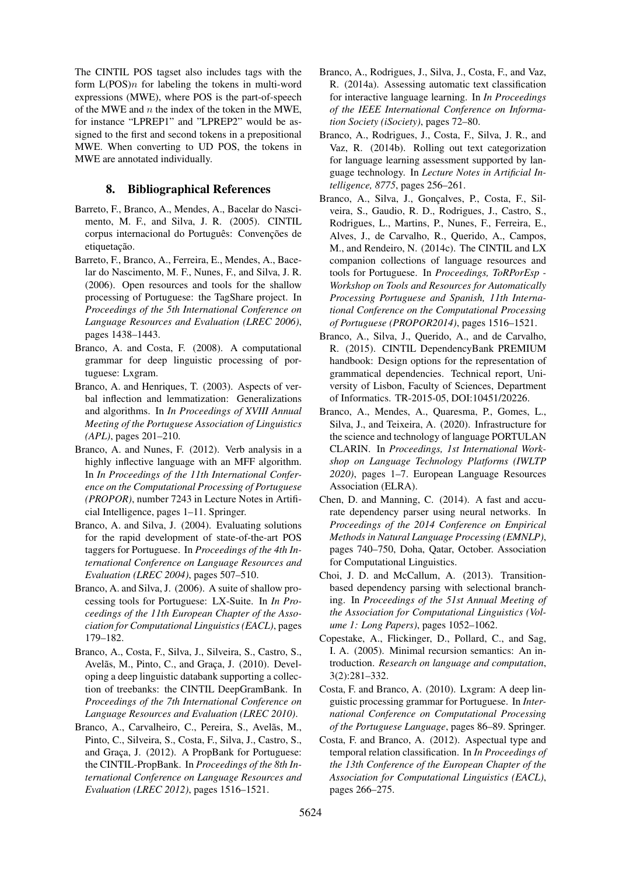The CINTIL POS tagset also includes tags with the form  $L(POS)$  for labeling the tokens in multi-word expressions (MWE), where POS is the part-of-speech of the MWE and  $n$  the index of the token in the MWE, for instance "LPREP1" and "LPREP2" would be assigned to the first and second tokens in a prepositional MWE. When converting to UD POS, the tokens in MWE are annotated individually.

# 8. Bibliographical References

- <span id="page-7-2"></span>Barreto, F., Branco, A., Mendes, A., Bacelar do Nascimento, M. F., and Silva, J. R. (2005). CINTIL corpus internacional do Português: Convenções de etiquetação.
- <span id="page-7-1"></span>Barreto, F., Branco, A., Ferreira, E., Mendes, A., Bacelar do Nascimento, M. F., Nunes, F., and Silva, J. R. (2006). Open resources and tools for the shallow processing of Portuguese: the TagShare project. In *Proceedings of the 5th International Conference on Language Resources and Evaluation (LREC 2006)*, pages 1438–1443.
- <span id="page-7-14"></span>Branco, A. and Costa, F. (2008). A computational grammar for deep linguistic processing of portuguese: Lxgram.
- <span id="page-7-11"></span>Branco, A. and Henriques, T. (2003). Aspects of verbal inflection and lemmatization: Generalizations and algorithms. In *In Proceedings of XVIII Annual Meeting of the Portuguese Association of Linguistics (APL)*, pages 201–210.
- <span id="page-7-12"></span>Branco, A. and Nunes, F. (2012). Verb analysis in a highly inflective language with an MFF algorithm. In *In Proceedings of the 11th International Conference on the Computational Processing of Portuguese (PROPOR)*, number 7243 in Lecture Notes in Artificial Intelligence, pages 1–11. Springer.
- <span id="page-7-3"></span>Branco, A. and Silva, J. (2004). Evaluating solutions for the rapid development of state-of-the-art POS taggers for Portuguese. In *Proceedings of the 4th International Conference on Language Resources and Evaluation (LREC 2004)*, pages 507–510.
- <span id="page-7-16"></span>Branco, A. and Silva, J. (2006). A suite of shallow processing tools for Portuguese: LX-Suite. In *In Proceedings of the 11th European Chapter of the Association for Computational Linguistics (EACL)*, pages 179–182.
- <span id="page-7-6"></span>Branco, A., Costa, F., Silva, J., Silveira, S., Castro, S., Avelãs, M., Pinto, C., and Graça, J. (2010). Developing a deep linguistic databank supporting a collection of treebanks: the CINTIL DeepGramBank. In *Proceedings of the 7th International Conference on Language Resources and Evaluation (LREC 2010)*.
- <span id="page-7-5"></span>Branco, A., Carvalheiro, C., Pereira, S., Avelãs, M., Pinto, C., Silveira, S., Costa, F., Silva, J., Castro, S., and Graca, J. (2012). A PropBank for Portuguese: the CINTIL-PropBank. In *Proceedings of the 8th International Conference on Language Resources and Evaluation (LREC 2012)*, pages 1516–1521.
- <span id="page-7-15"></span>Branco, A., Rodrigues, J., Silva, J., Costa, F., and Vaz, R. (2014a). Assessing automatic text classification for interactive language learning. In *In Proceedings of the IEEE International Conference on Information Society (iSociety)*, pages 72–80.
- <span id="page-7-13"></span>Branco, A., Rodrigues, J., Costa, F., Silva, J. R., and Vaz, R. (2014b). Rolling out text categorization for language learning assessment supported by language technology. In *Lecture Notes in Artificial Intelligence, 8775*, pages 256–261.
- <span id="page-7-4"></span>Branco, A., Silva, J., Gonçalves, P., Costa, F., Silveira, S., Gaudio, R. D., Rodrigues, J., Castro, S., Rodrigues, L., Martins, P., Nunes, F., Ferreira, E., Alves, J., de Carvalho, R., Querido, A., Campos, M., and Rendeiro, N. (2014c). The CINTIL and LX companion collections of language resources and tools for Portuguese. In *Proceedings, ToRPorEsp - Workshop on Tools and Resources for Automatically Processing Portuguese and Spanish, 11th International Conference on the Computational Processing of Portuguese (PROPOR2014)*, pages 1516–1521.
- <span id="page-7-9"></span>Branco, A., Silva, J., Querido, A., and de Carvalho, R. (2015). CINTIL DependencyBank PREMIUM handbook: Design options for the representation of grammatical dependencies. Technical report, University of Lisbon, Faculty of Sciences, Department of Informatics. TR-2015-05, DOI:10451/20226.
- <span id="page-7-0"></span>Branco, A., Mendes, A., Quaresma, P., Gomes, L., Silva, J., and Teixeira, A. (2020). Infrastructure for the science and technology of language PORTULAN CLARIN. In *Proceedings, 1st International Workshop on Language Technology Platforms (IWLTP 2020)*, pages 1–7. European Language Resources Association (ELRA).
- <span id="page-7-18"></span>Chen, D. and Manning, C. (2014). A fast and accurate dependency parser using neural networks. In *Proceedings of the 2014 Conference on Empirical Methods in Natural Language Processing (EMNLP)*, pages 740–750, Doha, Qatar, October. Association for Computational Linguistics.
- <span id="page-7-10"></span>Choi, J. D. and McCallum, A. (2013). Transitionbased dependency parsing with selectional branching. In *Proceedings of the 51st Annual Meeting of the Association for Computational Linguistics (Volume 1: Long Papers)*, pages 1052–1062.
- <span id="page-7-8"></span>Copestake, A., Flickinger, D., Pollard, C., and Sag, I. A. (2005). Minimal recursion semantics: An introduction. *Research on language and computation*, 3(2):281–332.
- <span id="page-7-7"></span>Costa, F. and Branco, A. (2010). Lxgram: A deep linguistic processing grammar for Portuguese. In *International Conference on Computational Processing of the Portuguese Language*, pages 86–89. Springer.
- <span id="page-7-17"></span>Costa, F. and Branco, A. (2012). Aspectual type and temporal relation classification. In *In Proceedings of the 13th Conference of the European Chapter of the Association for Computational Linguistics (EACL)*, pages 266–275.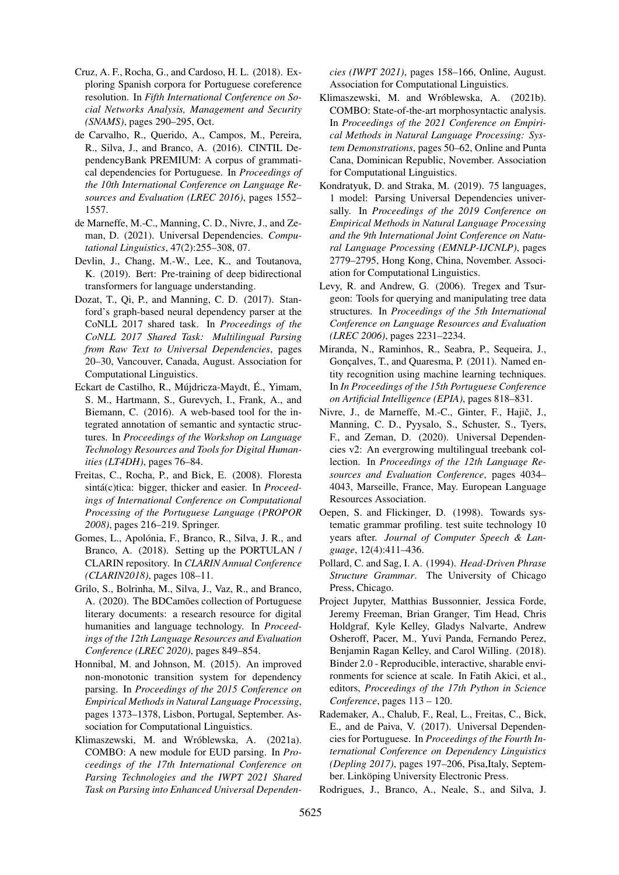- <span id="page-8-9"></span>Cruz, A. F., Rocha, G., and Cardoso, H. L. (2018). Exploring Spanish corpora for Portuguese coreference resolution. In *Fifth International Conference on Social Networks Analysis, Management and Security (SNAMS)*, pages 290–295, Oct.
- <span id="page-8-3"></span>de Carvalho, R., Querido, A., Campos, M., Pereira, R., Silva, J., and Branco, A. (2016). CINTIL DependencyBank PREMIUM: A corpus of grammatical dependencies for Portuguese. In *Proceedings of the 10th International Conference on Language Resources and Evaluation (LREC 2016)*, pages 1552– 1557.
- <span id="page-8-0"></span>de Marneffe, M.-C., Manning, C. D., Nivre, J., and Zeman, D. (2021). Universal Dependencies. *Computational Linguistics*, 47(2):255–308, 07.
- <span id="page-8-19"></span>Devlin, J., Chang, M.-W., Lee, K., and Toutanova, K. (2019). Bert: Pre-training of deep bidirectional transformers for language understanding.
- <span id="page-8-18"></span>Dozat, T., Qi, P., and Manning, C. D. (2017). Stanford's graph-based neural dependency parser at the CoNLL 2017 shared task. In *Proceedings of the CoNLL 2017 Shared Task: Multilingual Parsing from Raw Text to Universal Dependencies*, pages 20–30, Vancouver, Canada, August. Association for Computational Linguistics.
- <span id="page-8-6"></span>Eckart de Castilho, R., Mújdricza-Maydt, É., Yimam, S. M., Hartmann, S., Gurevych, I., Frank, A., and Biemann, C. (2016). A web-based tool for the integrated annotation of semantic and syntactic structures. In *Proceedings of the Workshop on Language Technology Resources and Tools for Digital Humanities (LT4DH)*, pages 76–84.
- <span id="page-8-13"></span>Freitas, C., Rocha, P., and Bick, E. (2008). Floresta sintá(c)tica: bigger, thicker and easier. In *Proceedings of International Conference on Computational Processing of the Portuguese Language (PROPOR 2008)*, pages 216–219. Springer.
- <span id="page-8-1"></span>Gomes, L., Apolónia, F., Branco, R., Silva, J. R., and Branco, A. (2018). Setting up the PORTULAN / CLARIN repository. In *CLARIN Annual Conference (CLARIN2018)*, pages 108–11.
- <span id="page-8-15"></span>Grilo, S., Bolrinha, M., Silva, J., Vaz, R., and Branco, A. (2020). The BDCamões collection of Portuguese literary documents: a research resource for digital humanities and language technology. In *Proceedings of the 12th Language Resources and Evaluation Conference (LREC 2020)*, pages 849–854.
- <span id="page-8-17"></span>Honnibal, M. and Johnson, M. (2015). An improved non-monotonic transition system for dependency parsing. In *Proceedings of the 2015 Conference on Empirical Methods in Natural Language Processing*, pages 1373–1378, Lisbon, Portugal, September. Association for Computational Linguistics.
- <span id="page-8-8"></span>Klimaszewski, M. and Wróblewska, A. (2021a). COMBO: A new module for EUD parsing. In *Proceedings of the 17th International Conference on Parsing Technologies and the IWPT 2021 Shared Task on Parsing into Enhanced Universal Dependen-*

*cies (IWPT 2021)*, pages 158–166, Online, August. Association for Computational Linguistics.

- <span id="page-8-16"></span>Klimaszewski, M. and Wróblewska, A. (2021b). COMBO: State-of-the-art morphosyntactic analysis. In *Proceedings of the 2021 Conference on Empirical Methods in Natural Language Processing: System Demonstrations*, pages 50–62, Online and Punta Cana, Dominican Republic, November. Association for Computational Linguistics.
- <span id="page-8-2"></span>Kondratyuk, D. and Straka, M. (2019). 75 languages, 1 model: Parsing Universal Dependencies universally. In *Proceedings of the 2019 Conference on Empirical Methods in Natural Language Processing and the 9th International Joint Conference on Natural Language Processing (EMNLP-IJCNLP)*, pages 2779–2795, Hong Kong, China, November. Association for Computational Linguistics.
- <span id="page-8-7"></span>Levy, R. and Andrew, G. (2006). Tregex and Tsurgeon: Tools for querying and manipulating tree data structures. In *Proceedings of the 5th International Conference on Language Resources and Evaluation (LREC 2006)*, pages 2231–2234.
- <span id="page-8-11"></span>Miranda, N., Raminhos, R., Seabra, P., Sequeira, J., Goncalves, T., and Ouaresma, P. (2011). Named entity recognition using machine learning techniques. In *In Proceedings of the 15th Portuguese Conference on Artificial Intelligence (EPIA)*, pages 818–831.
- <span id="page-8-20"></span>Nivre, J., de Marneffe, M.-C., Ginter, F., Hajič, J., Manning, C. D., Pyysalo, S., Schuster, S., Tyers, F., and Zeman, D. (2020). Universal Dependencies v2: An evergrowing multilingual treebank collection. In *Proceedings of the 12th Language Resources and Evaluation Conference*, pages 4034– 4043, Marseille, France, May. European Language Resources Association.
- <span id="page-8-5"></span>Oepen, S. and Flickinger, D. (1998). Towards systematic grammar profiling. test suite technology 10 years after. *Journal of Computer Speech & Language*, 12(4):411–436.
- <span id="page-8-4"></span>Pollard, C. and Sag, I. A. (1994). *Head-Driven Phrase Structure Grammar*. The University of Chicago Press, Chicago.
- <span id="page-8-12"></span>Project Jupyter, Matthias Bussonnier, Jessica Forde, Jeremy Freeman, Brian Granger, Tim Head, Chris Holdgraf, Kyle Kelley, Gladys Nalvarte, Andrew Osheroff, Pacer, M., Yuvi Panda, Fernando Perez, Benjamin Ragan Kelley, and Carol Willing. (2018). Binder 2.0 - Reproducible, interactive, sharable environments for science at scale. In Fatih Akici, et al., editors, *Proceedings of the 17th Python in Science Conference*, pages 113 – 120.
- <span id="page-8-14"></span>Rademaker, A., Chalub, F., Real, L., Freitas, C., Bick, E., and de Paiva, V. (2017). Universal Dependencies for Portuguese. In *Proceedings of the Fourth International Conference on Dependency Linguistics (Depling 2017)*, pages 197–206, Pisa,Italy, September. Linköping University Electronic Press.
- <span id="page-8-10"></span>Rodrigues, J., Branco, A., Neale, S., and Silva, J.